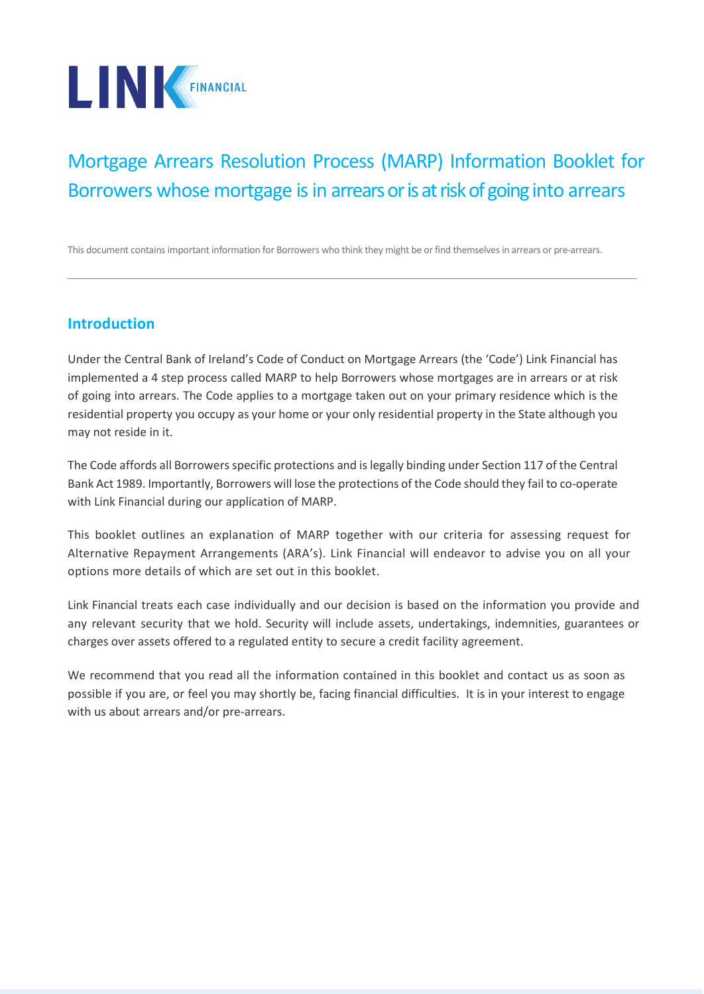

# Mortgage Arrears Resolution Process (MARP) Information Booklet for Borrowers whose mortgage is in arrears or is at risk of going into arrears

This document contains important information for Borrowers who think they might be or find themselves in arrears or pre-arrears.

## **Introduction**

Under the Central Bank of Ireland's Code of Conduct on Mortgage Arrears (the 'Code') Link Financial has implemented a 4 step process called MARP to help Borrowers whose mortgages are in arrears or at risk of going into arrears. The Code applies to a mortgage taken out on your primary residence which is the residential property you occupy as your home or your only residential property in the State although you may not reside in it.

The Code affords all Borrowers specific protections and is legally binding under Section 117 of the Central Bank Act 1989. Importantly, Borrowers will lose the protections of the Code should they fail to co-operate with Link Financial during our application of MARP.

This booklet outlines an explanation of MARP together with our criteria for assessing request for Alternative Repayment Arrangements (ARA's). Link Financial will endeavor to advise you on all your options more details of which are set out in this booklet.

Link Financial treats each case individually and our decision is based on the information you provide and any relevant security that we hold. Security will include assets, undertakings, indemnities, guarantees or charges over assets offered to a regulated entity to secure a credit facility agreement.

We recommend that you read all the information contained in this booklet and contact us as soon as possible if you are, or feel you may shortly be, facing financial difficulties. It is in your interest to engage with us about arrears and/or pre-arrears.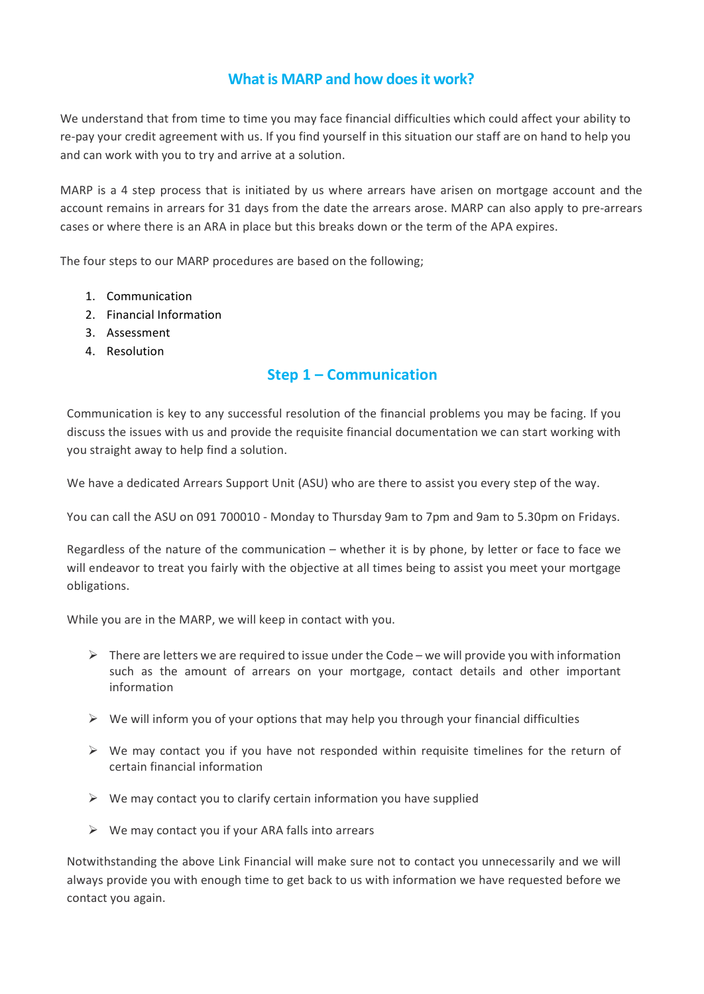## **What is MARP and how does it work?**

We understand that from time to time you may face financial difficulties which could affect your ability to re-pay your credit agreement with us. If you find yourself in this situation our staff are on hand to help you and can work with you to try and arrive at a solution.

MARP is a 4 step process that is initiated by us where arrears have arisen on mortgage account and the account remains in arrears for 31 days from the date the arrears arose. MARP can also apply to pre-arrears cases or where there is an ARA in place but this breaks down or the term of the APA expires.

The four steps to our MARP procedures are based on the following;

- 1. Communication
- 2. Financial Information
- 3. Assessment
- 4. Resolution

### **Step 1 – Communication**

Communication is key to any successful resolution of the financial problems you may be facing. If you discuss the issues with us and provide the requisite financial documentation we can start working with you straight away to help find a solution.

We have a dedicated Arrears Support Unit (ASU) who are there to assist you every step of the way.

You can call the ASU on 091 700010 - Monday to Thursday 9am to 7pm and 9am to 5.30pm on Fridays.

Regardless of the nature of the communication – whether it is by phone, by letter or face to face we will endeavor to treat you fairly with the objective at all times being to assist you meet your mortgage obligations.

While you are in the MARP, we will keep in contact with you.

- $\triangleright$  There are letters we are required to issue under the Code we will provide you with information such as the amount of arrears on your mortgage, contact details and other important information
- $\triangleright$  We will inform you of your options that may help you through your financial difficulties
- $\triangleright$  We may contact you if you have not responded within requisite timelines for the return of certain financial information
- $\triangleright$  We may contact you to clarify certain information you have supplied
- $\triangleright$  We may contact you if your ARA falls into arrears

Notwithstanding the above Link Financial will make sure not to contact you unnecessarily and we will always provide you with enough time to get back to us with information we have requested before we contact you again.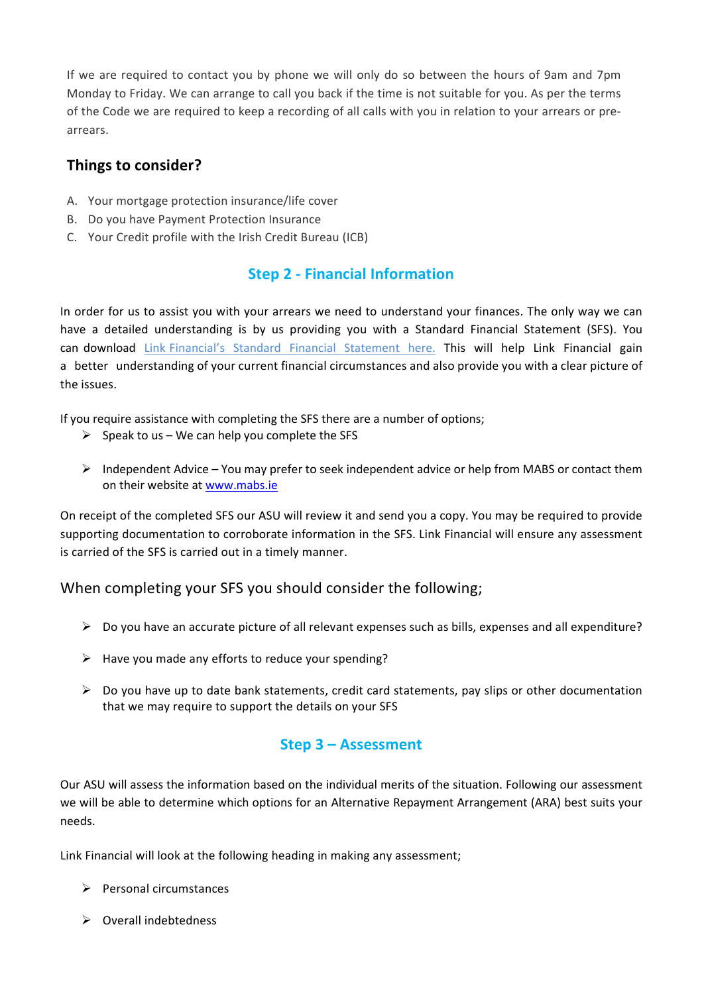If we are required to contact you by phone we will only do so between the hours of 9am and 7pm Monday to Friday. We can arrange to call you back if the time is not suitable for you. As per the terms of the Code we are required to keep a recording of all calls with you in relation to your arrears or prearrears.

## **Things to consider?**

- A. Your mortgage protection insurance/life cover
- B. Do you have Payment Protection Insurance
- C. Your Credit profile with the Irish Credit Bureau (ICB)

## **Step 2 - Financial Information**

In order for us to assist you with your arrears we need to understand your finances. The only way we can have a detailed understanding is by us providing you with a Standard Financial Statement (SFS). You can download Link Financial's [Standard Financial Statement](https://lfostage.wpengine.com/wp-content/uploads/2022/02/Link-Financial-Standard-Financial-Statement-2022.pdf) here. This will help Link Financial gain a better understanding of your current financial circumstances and also provide you with a clear picture of the issues.

If you require assistance with completing the SFS there are a number of options;

- $\triangleright$  Speak to us We can help you complete the SFS
- $\triangleright$  Independent Advice You may prefer to seek independent advice or help from MABS or contact them on their website at [www.mabs.ie](http://www.mabs.ie/)

On receipt of the completed SFS our ASU will review it and send you a copy. You may be required to provide supporting documentation to corroborate information in the SFS. Link Financial will ensure any assessment is carried of the SFS is carried out in a timely manner.

## When completing your SFS you should consider the following;

- $\triangleright$  Do you have an accurate picture of all relevant expenses such as bills, expenses and all expenditure?
- $\triangleright$  Have you made any efforts to reduce your spending?
- $\triangleright$  Do you have up to date bank statements, credit card statements, pay slips or other documentation that we may require to support the details on your SFS

## **Step 3 – Assessment**

Our ASU will assess the information based on the individual merits of the situation. Following our assessment we will be able to determine which options for an Alternative Repayment Arrangement (ARA) best suits your needs.

Link Financial will look at the following heading in making any assessment;

- $\triangleright$  Personal circumstances
- $\triangleright$  Overall indebtedness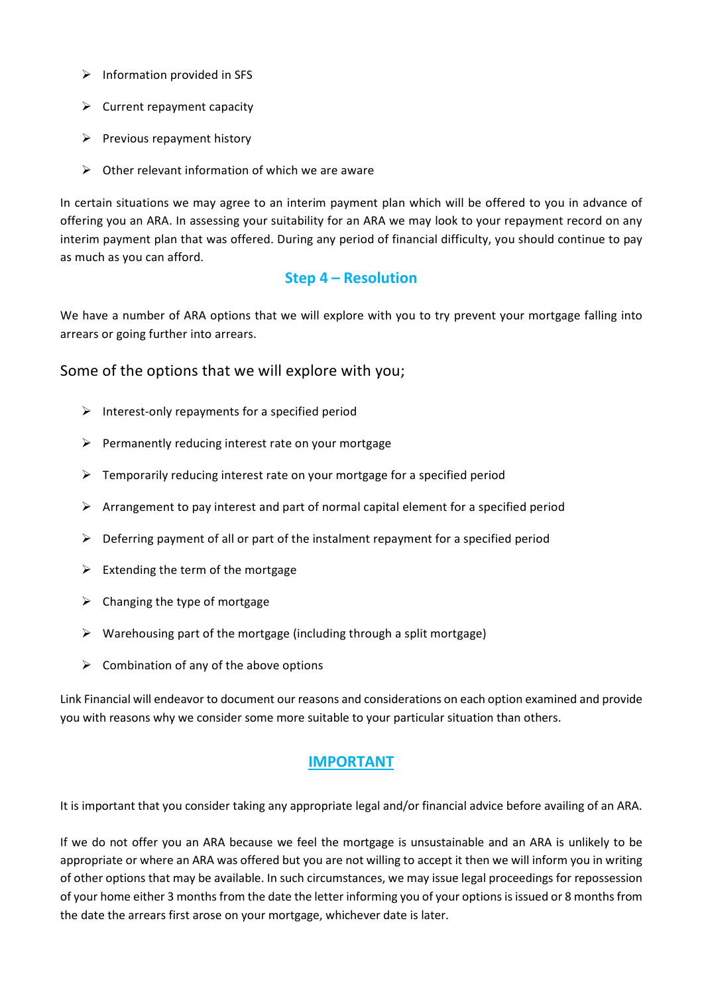- $\triangleright$  Information provided in SFS
- $\triangleright$  Current repayment capacity
- $\triangleright$  Previous repayment history
- $\triangleright$  Other relevant information of which we are aware

In certain situations we may agree to an interim payment plan which will be offered to you in advance of offering you an ARA. In assessing your suitability for an ARA we may look to your repayment record on any interim payment plan that was offered. During any period of financial difficulty, you should continue to pay as much as you can afford.

### **Step 4 – Resolution**

We have a number of ARA options that we will explore with you to try prevent your mortgage falling into arrears or going further into arrears.

#### Some of the options that we will explore with you;

- $\triangleright$  Interest-only repayments for a specified period
- $\triangleright$  Permanently reducing interest rate on your mortgage
- $\triangleright$  Temporarily reducing interest rate on your mortgage for a specified period
- $\triangleright$  Arrangement to pay interest and part of normal capital element for a specified period
- $\triangleright$  Deferring payment of all or part of the instalment repayment for a specified period
- $\triangleright$  Extending the term of the mortgage
- $\triangleright$  Changing the type of mortgage
- $\triangleright$  Warehousing part of the mortgage (including through a split mortgage)
- $\triangleright$  Combination of any of the above options

Link Financial will endeavor to document our reasons and considerations on each option examined and provide you with reasons why we consider some more suitable to your particular situation than others.

### **IMPORTANT**

It is important that you consider taking any appropriate legal and/or financial advice before availing of an ARA.

If we do not offer you an ARA because we feel the mortgage is unsustainable and an ARA is unlikely to be appropriate or where an ARA was offered but you are not willing to accept it then we will inform you in writing of other options that may be available. In such circumstances, we may issue legal proceedings for repossession of your home either 3 months from the date the letter informing you of your options is issued or 8 months from the date the arrears first arose on your mortgage, whichever date is later.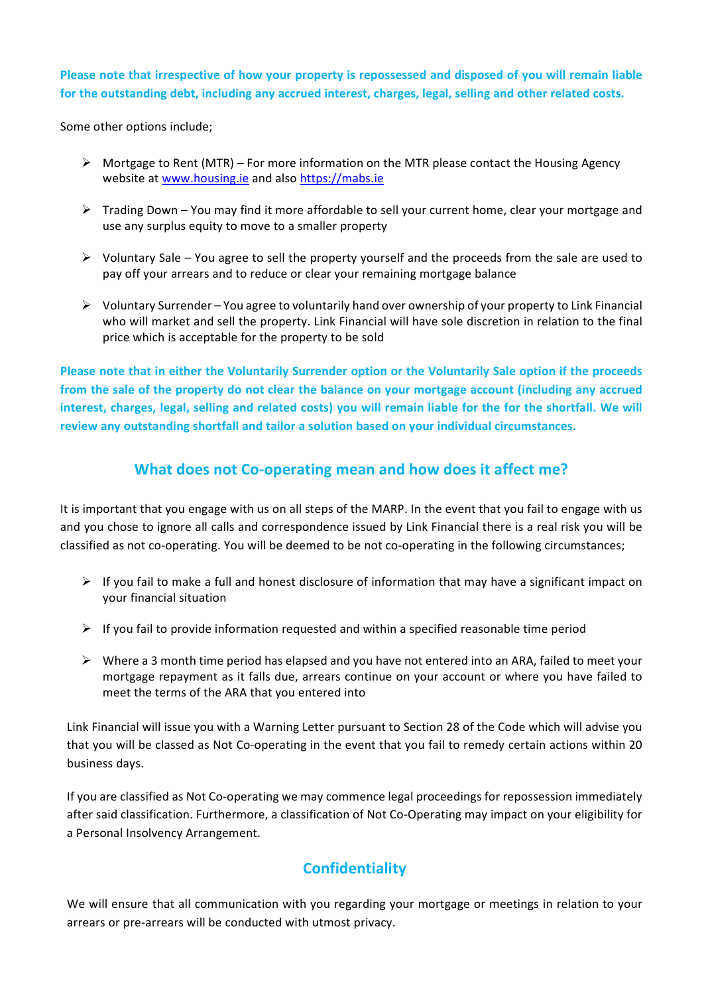#### **Please note that irrespective of how your property is repossessed and disposed of you will remain liable for the outstanding debt, including any accrued interest, charges, legal, selling and other related costs.**

Some other options include;

- $\triangleright$  Mortgage to Rent (MTR) For more information on the MTR please contact the Housing Agency website at [www.housing.ie](http://www.housing.ie/) and also [https://mabs.ie](https://mabs.ie/)
- $\triangleright$  Trading Down You may find it more affordable to sell your current home, clear your mortgage and use any surplus equity to move to a smaller property
- $\triangleright$  Voluntary Sale You agree to sell the property yourself and the proceeds from the sale are used to pay off your arrears and to reduce or clear your remaining mortgage balance
- $\triangleright$  Voluntary Surrender You agree to voluntarily hand over ownership of your property to Link Financial who will market and sell the property. Link Financial will have sole discretion in relation to the final price which is acceptable for the property to be sold

**Please note that in either the Voluntarily Surrender option or the Voluntarily Sale option if the proceeds from the sale of the property do not clear the balance on your mortgage account (including any accrued interest, charges, legal, selling and related costs) you will remain liable for the for the shortfall. We will review any outstanding shortfall and tailor a solution based on your individual circumstances.** 

## **What does not Co-operating mean and how does it affect me?**

It is important that you engage with us on all steps of the MARP. In the event that you fail to engage with us and you chose to ignore all calls and correspondence issued by Link Financial there is a real risk you will be classified as not co-operating. You will be deemed to be not co-operating in the following circumstances;

- $\triangleright$  If you fail to make a full and honest disclosure of information that may have a significant impact on your financial situation
- $\triangleright$  If you fail to provide information requested and within a specified reasonable time period
- $\triangleright$  Where a 3 month time period has elapsed and you have not entered into an ARA, failed to meet your mortgage repayment as it falls due, arrears continue on your account or where you have failed to meet the terms of the ARA that you entered into

Link Financial will issue you with a Warning Letter pursuant to Section 28 of the Code which will advise you that you will be classed as Not Co-operating in the event that you fail to remedy certain actions within 20 business days.

If you are classified as Not Co-operating we may commence legal proceedings for repossession immediately after said classification. Furthermore, a classification of Not Co-Operating may impact on your eligibility for a Personal Insolvency Arrangement.

## **Confidentiality**

We will ensure that all communication with you regarding your mortgage or meetings in relation to your arrears or pre-arrears will be conducted with utmost privacy.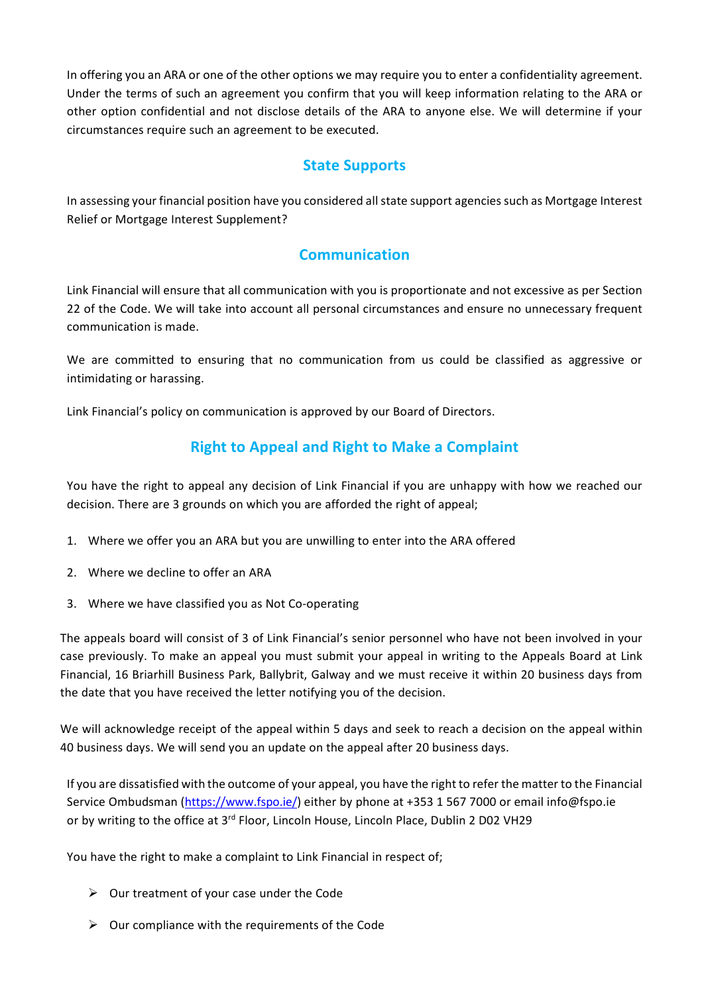In offering you an ARA or one of the other options we may require you to enter a confidentiality agreement. Under the terms of such an agreement you confirm that you will keep information relating to the ARA or other option confidential and not disclose details of the ARA to anyone else. We will determine if your circumstances require such an agreement to be executed.

#### **State Supports**

In assessing your financial position have you considered all state support agencies such as Mortgage Interest Relief or Mortgage Interest Supplement?

### **Communication**

Link Financial will ensure that all communication with you is proportionate and not excessive as per Section 22 of the Code. We will take into account all personal circumstances and ensure no unnecessary frequent communication is made.

We are committed to ensuring that no communication from us could be classified as aggressive or intimidating or harassing.

Link Financial's policy on communication is approved by our Board of Directors.

## **Right to Appeal and Right to Make a Complaint**

You have the right to appeal any decision of Link Financial if you are unhappy with how we reached our decision. There are 3 grounds on which you are afforded the right of appeal;

- 1. Where we offer you an ARA but you are unwilling to enter into the ARA offered
- 2. Where we decline to offer an ARA
- 3. Where we have classified you as Not Co-operating

The appeals board will consist of 3 of Link Financial's senior personnel who have not been involved in your case previously. To make an appeal you must submit your appeal in writing to the Appeals Board at Link Financial, 16 Briarhill Business Park, Ballybrit, Galway and we must receive it within 20 business days from the date that you have received the letter notifying you of the decision.

We will acknowledge receipt of the appeal within 5 days and seek to reach a decision on the appeal within 40 business days. We will send you an update on the appeal after 20 business days.

If you are dissatisfied with the outcome of your appeal, you have the right to refer the matter to the Financial Service Ombudsman [\(https://www.fspo.ie/\)](https://www.fspo.ie/) either by phone at +353 1 567 7000 or email info@fspo.ie or by writing to the office at 3<sup>rd</sup> Floor, Lincoln House, Lincoln Place, Dublin 2 D02 VH29

You have the right to make a complaint to Link Financial in respect of;

- $\triangleright$  Our treatment of your case under the Code
- $\triangleright$  Our compliance with the requirements of the Code